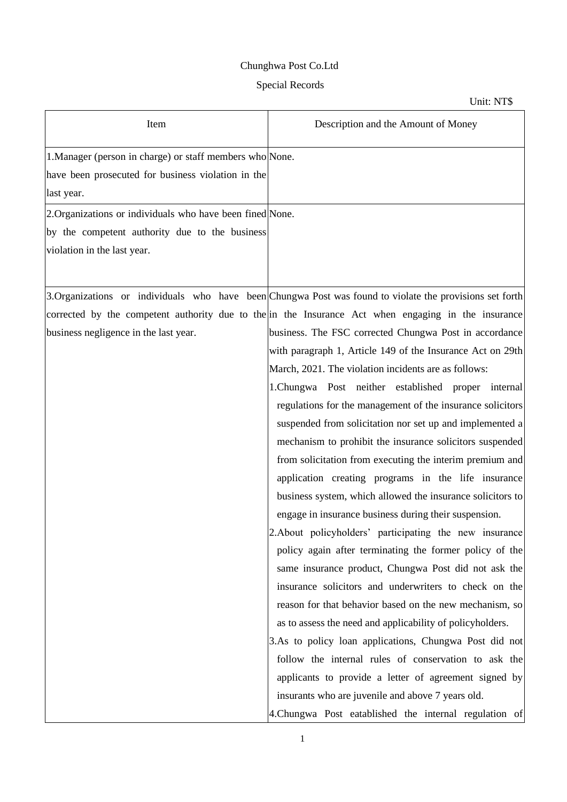## Chunghwa Post Co.Ltd

## Special Records

Unit: NT\$

| Item                                                                                                                                       | Description and the Amount of Money                                                                                                                                                                                                                                                                                                                                                                                                                                                                                                                                                                                                                                                                                                                                                                                                                                                                                                                                                                                                                                                                                                                                                     |
|--------------------------------------------------------------------------------------------------------------------------------------------|-----------------------------------------------------------------------------------------------------------------------------------------------------------------------------------------------------------------------------------------------------------------------------------------------------------------------------------------------------------------------------------------------------------------------------------------------------------------------------------------------------------------------------------------------------------------------------------------------------------------------------------------------------------------------------------------------------------------------------------------------------------------------------------------------------------------------------------------------------------------------------------------------------------------------------------------------------------------------------------------------------------------------------------------------------------------------------------------------------------------------------------------------------------------------------------------|
| 1. Manager (person in charge) or staff members who None.<br>have been prosecuted for business violation in the<br>last year.               |                                                                                                                                                                                                                                                                                                                                                                                                                                                                                                                                                                                                                                                                                                                                                                                                                                                                                                                                                                                                                                                                                                                                                                                         |
| 2. Organizations or individuals who have been fined None.<br>by the competent authority due to the business<br>violation in the last year. |                                                                                                                                                                                                                                                                                                                                                                                                                                                                                                                                                                                                                                                                                                                                                                                                                                                                                                                                                                                                                                                                                                                                                                                         |
| business negligence in the last year.                                                                                                      | 3.Organizations or individuals who have been Chungwa Post was found to violate the provisions set forth<br>corrected by the competent authority due to the in the Insurance Act when engaging in the insurance<br>business. The FSC corrected Chungwa Post in accordance<br>with paragraph 1, Article 149 of the Insurance Act on 29th<br>March, 2021. The violation incidents are as follows:<br>1. Chungwa Post neither established proper internal<br>regulations for the management of the insurance solicitors<br>suspended from solicitation nor set up and implemented a<br>mechanism to prohibit the insurance solicitors suspended<br>from solicitation from executing the interim premium and<br>application creating programs in the life insurance<br>business system, which allowed the insurance solicitors to<br>engage in insurance business during their suspension.<br>2. About policyholders' participating the new insurance<br>policy again after terminating the former policy of the<br>same insurance product, Chungwa Post did not ask the<br>insurance solicitors and underwriters to check on the<br>reason for that behavior based on the new mechanism, so |
|                                                                                                                                            | as to assess the need and applicability of policyholders.<br>3.As to policy loan applications, Chungwa Post did not<br>follow the internal rules of conservation to ask the<br>applicants to provide a letter of agreement signed by<br>insurants who are juvenile and above 7 years old.<br>4. Chungwa Post eatablished the internal regulation of                                                                                                                                                                                                                                                                                                                                                                                                                                                                                                                                                                                                                                                                                                                                                                                                                                     |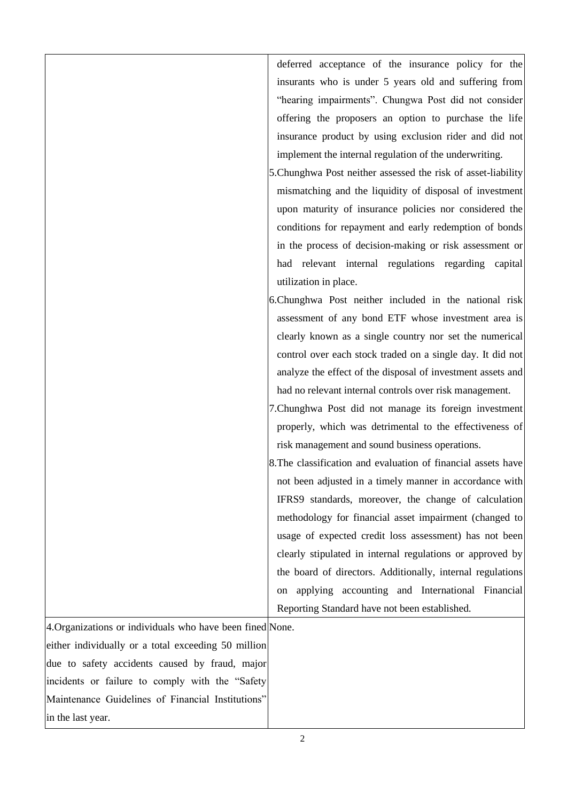deferred acceptance of the insurance policy for the insurants who is under 5 years old and suffering from "hearing impairments". Chungwa Post did not consider offering the proposers an option to purchase the life insurance product by using exclusion rider and did not implement the internal regulation of the underwriting.

5.Chunghwa Post neither assessed the risk of asset-liability mismatching and the liquidity of disposal of investment upon maturity of insurance policies nor considered the conditions for repayment and early redemption of bonds in the process of decision-making or risk assessment or had relevant internal regulations regarding capital utilization in place.

6.Chunghwa Post neither included in the national risk assessment of any bond ETF whose investment area is clearly known as a single country nor set the numerical control over each stock traded on a single day. It did not analyze the effect of the disposal of investment assets and had no relevant internal controls over risk management.

- 7.Chunghwa Post did not manage its foreign investment properly, which was detrimental to the effectiveness of risk management and sound business operations.
- 8.The classification and evaluation of financial assets have not been adjusted in a timely manner in accordance with IFRS9 standards, moreover, the change of calculation methodology for financial asset impairment (changed to usage of expected credit loss assessment) has not been clearly stipulated in internal regulations or approved by the board of directors. Additionally, internal regulations on applying accounting and International Financial Reporting Standard have not been established.

4.Organizations or individuals who have been fined None.either individually or a total exceeding 50 million due to safety accidents caused by fraud, major incidents or failure to comply with the "Safety Maintenance Guidelines of Financial Institutions" in the last year.